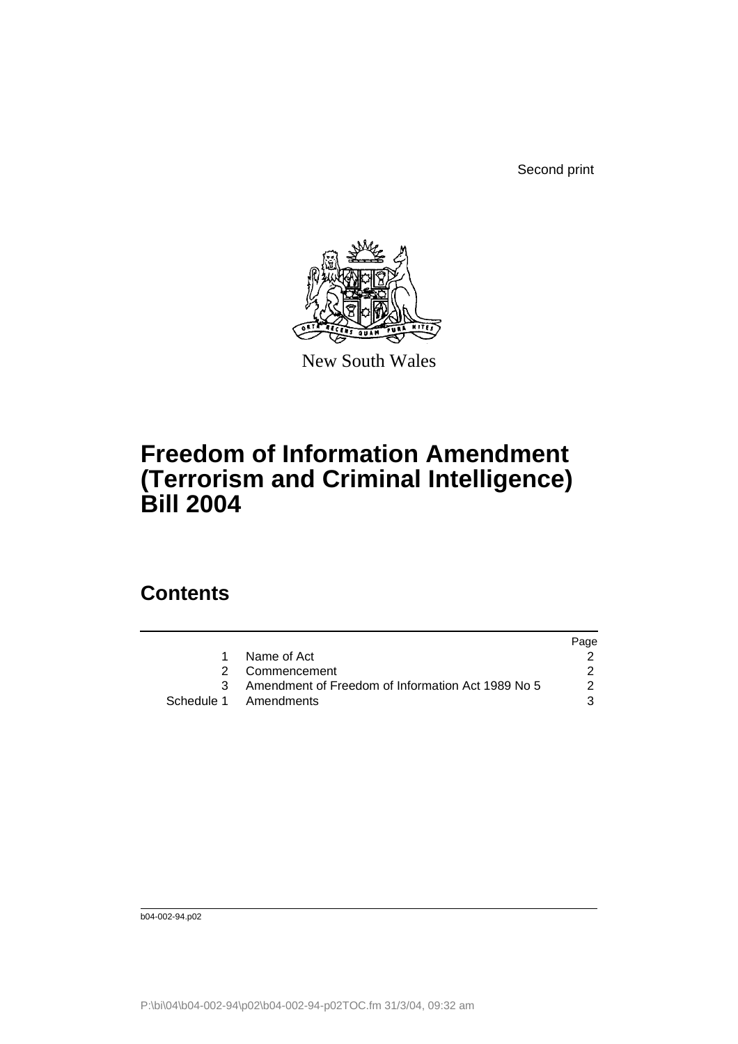Second print



New South Wales

## **Freedom of Information Amendment (Terrorism and Criminal Intelligence) Bill 2004**

## **Contents**

|                                                     | Page          |
|-----------------------------------------------------|---------------|
| Name of Act<br>1                                    |               |
| 2 Commencement                                      |               |
| 3 Amendment of Freedom of Information Act 1989 No 5 | $\mathcal{P}$ |
| Schedule 1 Amendments                               | 3             |
|                                                     |               |

b04-002-94.p02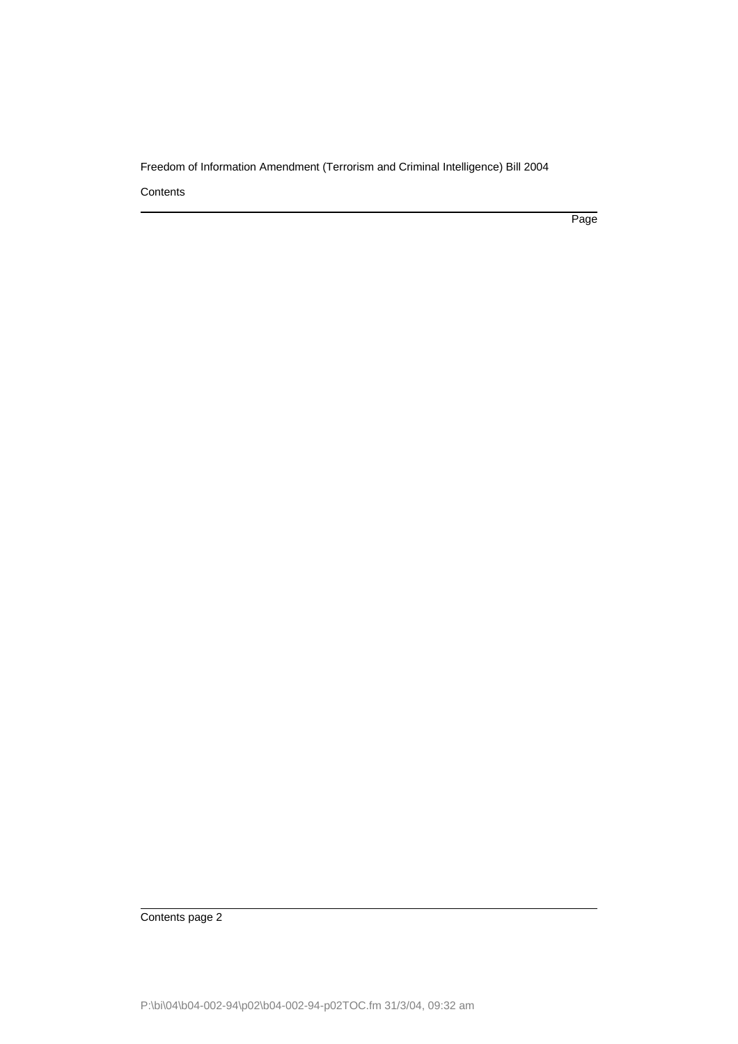Freedom of Information Amendment (Terrorism and Criminal Intelligence) Bill 2004

**Contents** 

Page

Contents page 2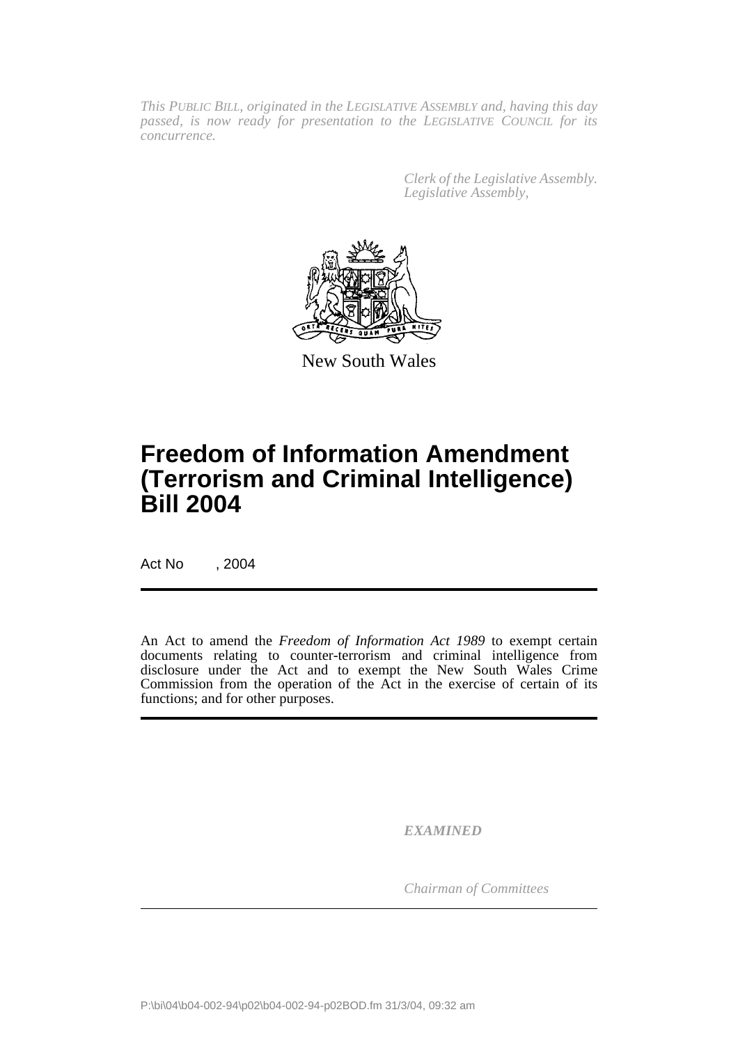*This PUBLIC BILL, originated in the LEGISLATIVE ASSEMBLY and, having this day passed, is now ready for presentation to the LEGISLATIVE COUNCIL for its concurrence.*

> *Clerk of the Legislative Assembly. Legislative Assembly,*



New South Wales

## **Freedom of Information Amendment (Terrorism and Criminal Intelligence) Bill 2004**

Act No , 2004

An Act to amend the *Freedom of Information Act 1989* to exempt certain documents relating to counter-terrorism and criminal intelligence from disclosure under the Act and to exempt the New South Wales Crime Commission from the operation of the Act in the exercise of certain of its functions; and for other purposes.

*EXAMINED*

*Chairman of Committees*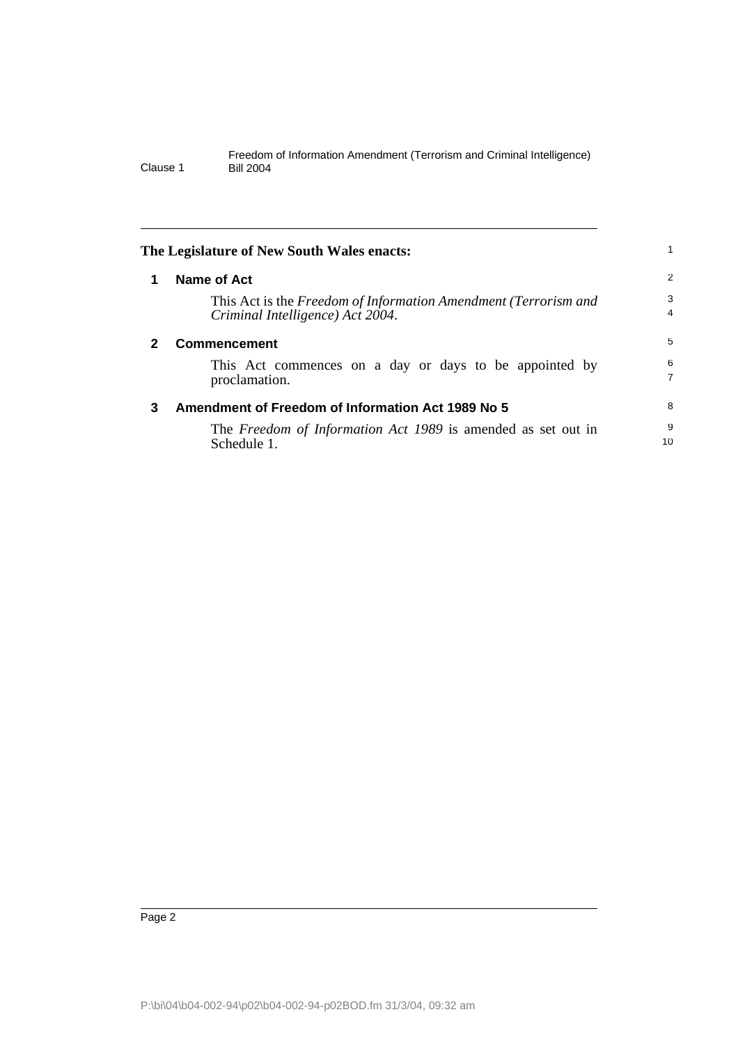## Freedom of Information Amendment (Terrorism and Criminal Intelligence) Clause 1 Bill 2004

<span id="page-3-2"></span><span id="page-3-1"></span><span id="page-3-0"></span>

| The Legislature of New South Wales enacts: |                                                                                                     |                     |  |
|--------------------------------------------|-----------------------------------------------------------------------------------------------------|---------------------|--|
| 1                                          | Name of Act                                                                                         | 2                   |  |
|                                            | This Act is the Freedom of Information Amendment (Terrorism and<br>Criminal Intelligence) Act 2004. | 3<br>$\overline{4}$ |  |
|                                            | <b>Commencement</b>                                                                                 | 5                   |  |
|                                            | This Act commences on a day or days to be appointed by<br>proclamation.                             | 6<br>7              |  |
| 3                                          | Amendment of Freedom of Information Act 1989 No 5                                                   | 8                   |  |
|                                            | The Freedom of Information Act 1989 is amended as set out in<br>Schedule 1.                         | 9<br>10             |  |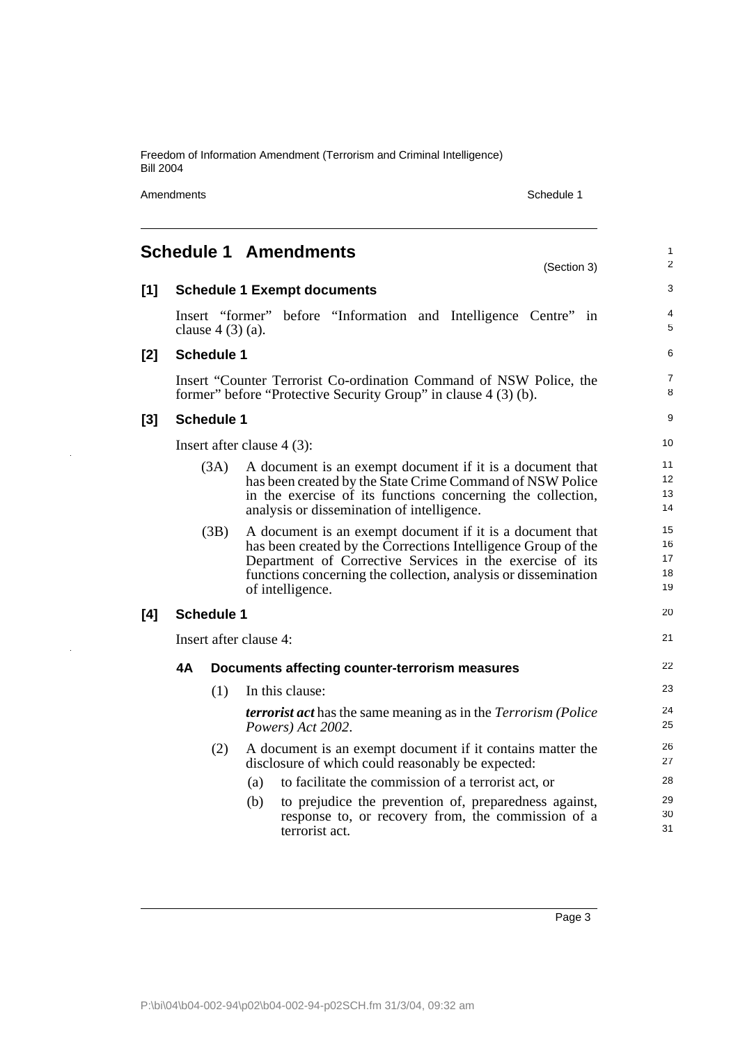Freedom of Information Amendment (Terrorism and Criminal Intelligence) Bill 2004

Amendments Schedule 1

<span id="page-4-0"></span>

| <b>Schedule 1 Amendments</b><br>(Section 3) |                                                      |                    |                                                                                                                                                                                                                                                                              |                            |  |  |
|---------------------------------------------|------------------------------------------------------|--------------------|------------------------------------------------------------------------------------------------------------------------------------------------------------------------------------------------------------------------------------------------------------------------------|----------------------------|--|--|
| [1]                                         |                                                      |                    | <b>Schedule 1 Exempt documents</b>                                                                                                                                                                                                                                           | 3                          |  |  |
|                                             |                                                      | clause $4(3)(a)$ . | Insert "former" before "Information and Intelligence Centre" in                                                                                                                                                                                                              | 4<br>5                     |  |  |
| [2]                                         |                                                      | <b>Schedule 1</b>  |                                                                                                                                                                                                                                                                              | 6                          |  |  |
|                                             |                                                      |                    | Insert "Counter Terrorist Co-ordination Command of NSW Police, the<br>former" before "Protective Security Group" in clause 4 (3) (b).                                                                                                                                        | 7<br>8                     |  |  |
| $[3]$                                       |                                                      | <b>Schedule 1</b>  |                                                                                                                                                                                                                                                                              | 9                          |  |  |
|                                             |                                                      |                    | Insert after clause $4(3)$ :                                                                                                                                                                                                                                                 | 10                         |  |  |
|                                             |                                                      | (3A)               | A document is an exempt document if it is a document that<br>has been created by the State Crime Command of NSW Police<br>in the exercise of its functions concerning the collection,<br>analysis or dissemination of intelligence.                                          | 11<br>12<br>13<br>14       |  |  |
|                                             |                                                      | (3B)               | A document is an exempt document if it is a document that<br>has been created by the Corrections Intelligence Group of the<br>Department of Corrective Services in the exercise of its<br>functions concerning the collection, analysis or dissemination<br>of intelligence. | 15<br>16<br>17<br>18<br>19 |  |  |
| [4]                                         | <b>Schedule 1</b>                                    |                    |                                                                                                                                                                                                                                                                              | 20                         |  |  |
|                                             | Insert after clause 4:                               |                    |                                                                                                                                                                                                                                                                              |                            |  |  |
|                                             | 4A<br>Documents affecting counter-terrorism measures |                    |                                                                                                                                                                                                                                                                              |                            |  |  |
|                                             |                                                      | (1)                | In this clause:                                                                                                                                                                                                                                                              | 23                         |  |  |
|                                             |                                                      |                    | <i>terrorist act</i> has the same meaning as in the <i>Terrorism</i> (Police<br>Powers) Act 2002.                                                                                                                                                                            | 24<br>25                   |  |  |
|                                             |                                                      | (2)                | A document is an exempt document if it contains matter the<br>disclosure of which could reasonably be expected:                                                                                                                                                              | 26<br>27                   |  |  |
|                                             |                                                      |                    | to facilitate the commission of a terrorist act, or<br>(a)                                                                                                                                                                                                                   | 28                         |  |  |
|                                             |                                                      |                    | (b)<br>to prejudice the prevention of, preparedness against,<br>response to, or recovery from, the commission of a<br>terrorist act.                                                                                                                                         | 29<br>30<br>31             |  |  |

Page 3